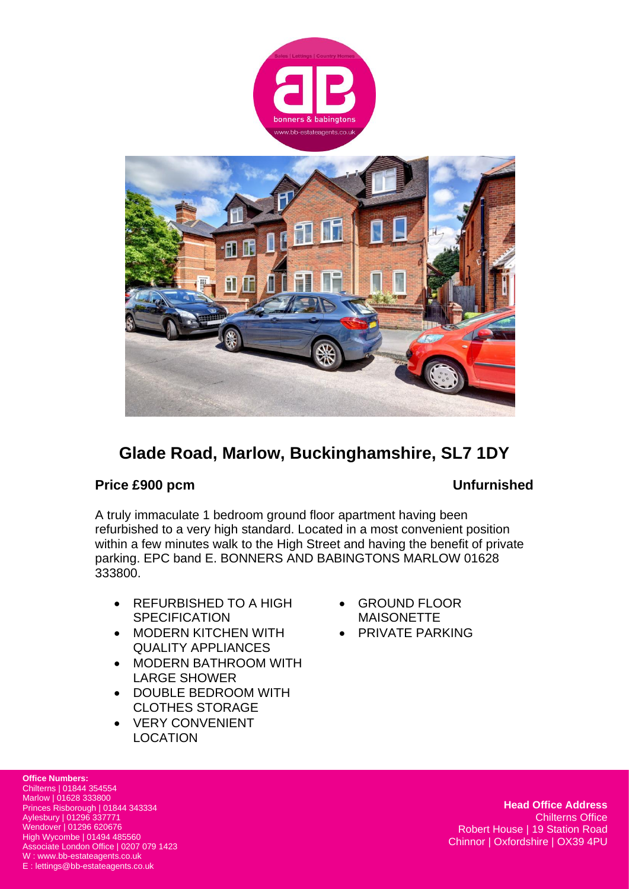



# **Glade Road, Marlow, Buckinghamshire, SL7 1DY**

## **Price £900 pcm Unfurnished**

A truly immaculate 1 bedroom ground floor apartment having been refurbished to a very high standard. Located in a most convenient position within a few minutes walk to the High Street and having the benefit of private parking. EPC band E. BONNERS AND BABINGTONS MARLOW 01628 333800.

- REFURBISHED TO A HIGH **SPECIFICATION**
- MODERN KITCHEN WITH QUALITY APPLIANCES
- MODERN BATHROOM WITH LARGE SHOWER
- DOUBLE BEDROOM WITH CLOTHES STORAGE
- VERY CONVENIENT LOCATION
- GROUND FLOOR MAISONETTE
- PRIVATE PARKING

**Office Numbers:** Chilterns | 01844 354554 Marlow | 01628 333800 Princes Risborough | 01844 343334 Aylesbury | 01296 337771 Wendover | 01296 620676 High Wycombe | 01494 485560 Associate London Office | 0207 079 1423 W : www.bb-estateagents.co.uk E : lettings@bb-estateagents.co.uk

**Head Office Address** Chilterns Office Robert House | 19 Station Road Chinnor | Oxfordshire | OX39 4PU